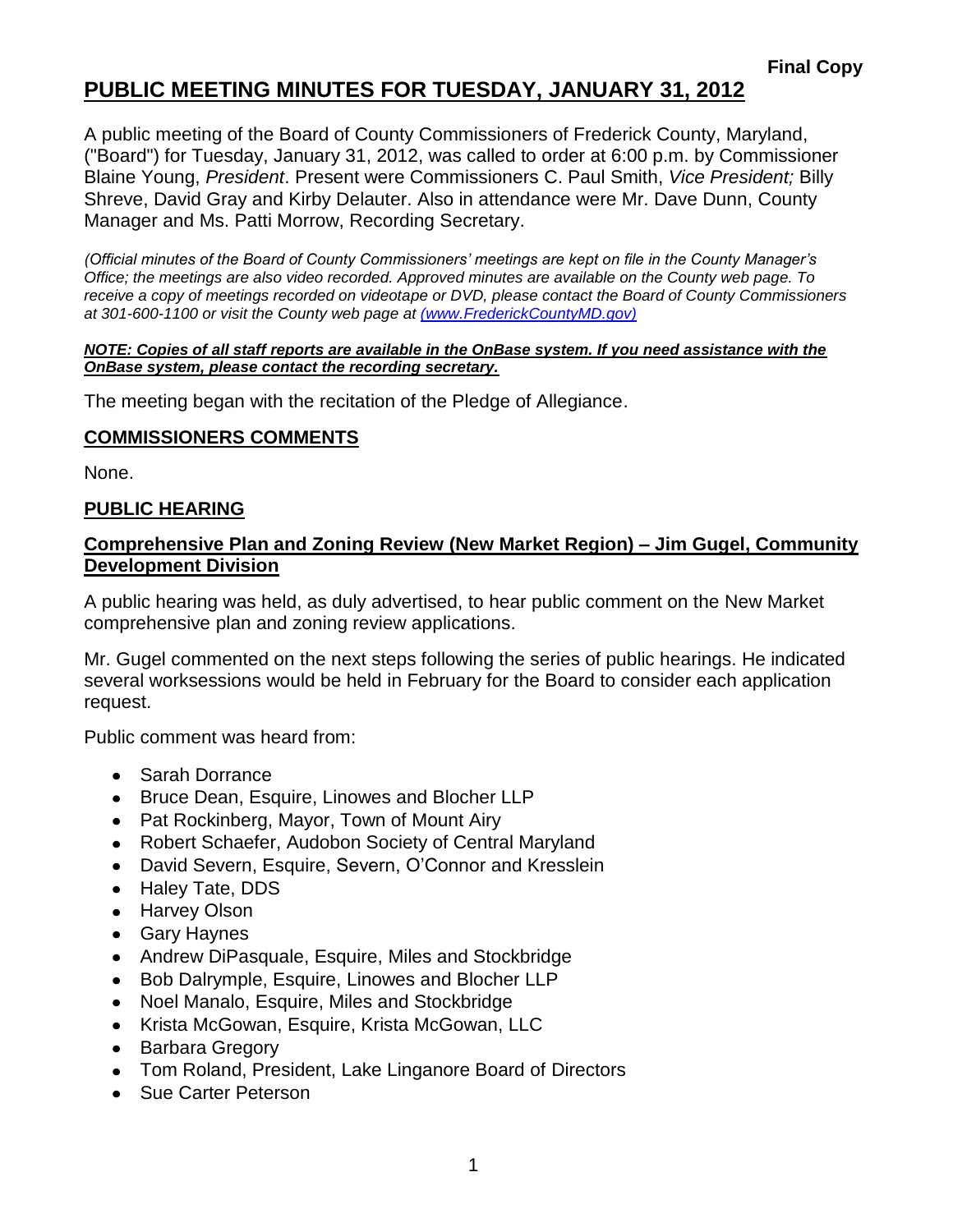# **PUBLIC MEETING MINUTES FOR TUESDAY, JANUARY 31, 2012**

A public meeting of the Board of County Commissioners of Frederick County, Maryland, ("Board") for Tuesday, January 31, 2012, was called to order at 6:00 p.m. by Commissioner Blaine Young, *President*. Present were Commissioners C. Paul Smith, *Vice President;* Billy Shreve, David Gray and Kirby Delauter. Also in attendance were Mr. Dave Dunn, County Manager and Ms. Patti Morrow, Recording Secretary.

*(Official minutes of the Board of County Commissioners' meetings are kept on file in the County Manager's Office; the meetings are also video recorded. Approved minutes are available on the County web page. To receive a copy of meetings recorded on videotape or DVD, please contact the Board of County Commissioners at 301-600-1100 or visit the County web page at [\(www.FrederickCountyMD.gov\)](file://NT1S5/BOCC/BOCC/BOCC%20Minutes/Patti)*

#### *NOTE: Copies of all staff reports are available in the OnBase system. If you need assistance with the OnBase system, please contact the recording secretary.*

The meeting began with the recitation of the Pledge of Allegiance.

#### **COMMISSIONERS COMMENTS**

None.

### **PUBLIC HEARING**

### **Comprehensive Plan and Zoning Review (New Market Region) – Jim Gugel, Community Development Division**

A public hearing was held, as duly advertised, to hear public comment on the New Market comprehensive plan and zoning review applications.

Mr. Gugel commented on the next steps following the series of public hearings. He indicated several worksessions would be held in February for the Board to consider each application request.

Public comment was heard from:

- Sarah Dorrance
- Bruce Dean, Esquire, Linowes and Blocher LLP
- Pat Rockinberg, Mayor, Town of Mount Airy
- Robert Schaefer, Audobon Society of Central Maryland
- David Severn, Esquire, Severn, O'Connor and Kresslein
- Haley Tate, DDS
- Harvey Olson
- Gary Haynes
- Andrew DiPasquale, Esquire, Miles and Stockbridge
- Bob Dalrymple, Esquire, Linowes and Blocher LLP
- Noel Manalo, Esquire, Miles and Stockbridge
- Krista McGowan, Esquire, Krista McGowan, LLC
- Barbara Gregory
- Tom Roland, President, Lake Linganore Board of Directors
- Sue Carter Peterson